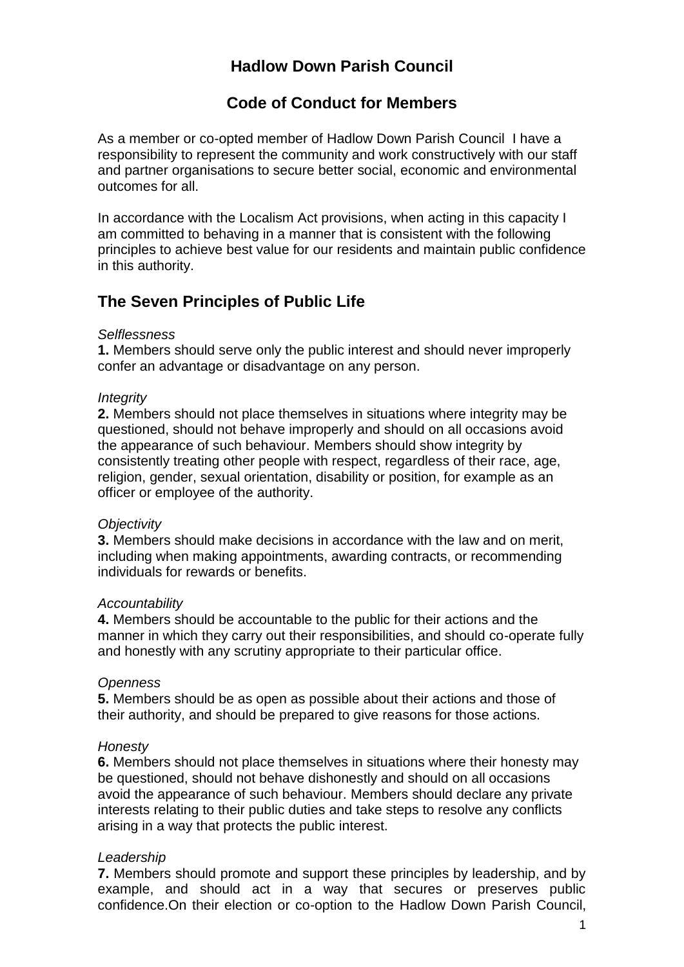# **Hadlow Down Parish Council**

## **Code of Conduct for Members**

As a member or co-opted member of Hadlow Down Parish Council I have a responsibility to represent the community and work constructively with our staff and partner organisations to secure better social, economic and environmental outcomes for all.

In accordance with the Localism Act provisions, when acting in this capacity I am committed to behaving in a manner that is consistent with the following principles to achieve best value for our residents and maintain public confidence in this authority.

# **The Seven Principles of Public Life**

### *Selflessness*

**1.** Members should serve only the public interest and should never improperly confer an advantage or disadvantage on any person.

### *Integrity*

**2.** Members should not place themselves in situations where integrity may be questioned, should not behave improperly and should on all occasions avoid the appearance of such behaviour. Members should show integrity by consistently treating other people with respect, regardless of their race, age, religion, gender, sexual orientation, disability or position, for example as an officer or employee of the authority.

### *Objectivity*

**3.** Members should make decisions in accordance with the law and on merit, including when making appointments, awarding contracts, or recommending individuals for rewards or benefits.

#### *Accountability*

**4.** Members should be accountable to the public for their actions and the manner in which they carry out their responsibilities, and should co-operate fully and honestly with any scrutiny appropriate to their particular office.

### *Openness*

**5.** Members should be as open as possible about their actions and those of their authority, and should be prepared to give reasons for those actions.

#### *Honesty*

**6.** Members should not place themselves in situations where their honesty may be questioned, should not behave dishonestly and should on all occasions avoid the appearance of such behaviour. Members should declare any private interests relating to their public duties and take steps to resolve any conflicts arising in a way that protects the public interest.

### *Leadership*

**7.** Members should promote and support these principles by leadership, and by example, and should act in a way that secures or preserves public confidence.On their election or co-option to the Hadlow Down Parish Council,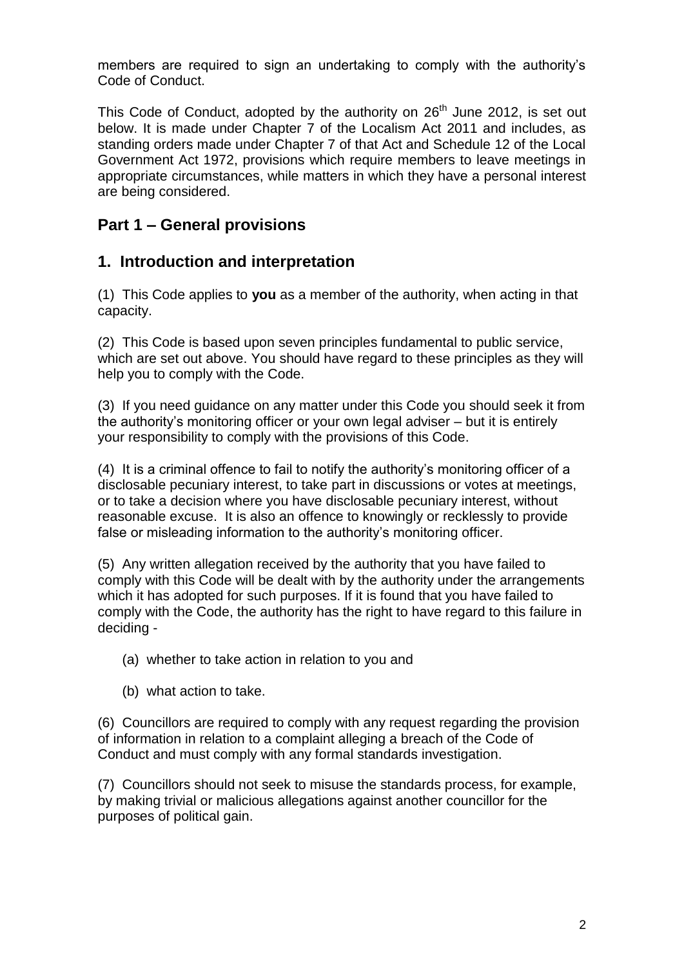members are required to sign an undertaking to comply with the authority's Code of Conduct.

This Code of Conduct, adopted by the authority on  $26<sup>th</sup>$  June 2012, is set out below. It is made under Chapter 7 of the Localism Act 2011 and includes, as standing orders made under Chapter 7 of that Act and Schedule 12 of the Local Government Act 1972, provisions which require members to leave meetings in appropriate circumstances, while matters in which they have a personal interest are being considered.

# **Part 1 – General provisions**

# **1. Introduction and interpretation**

(1) This Code applies to **you** as a member of the authority, when acting in that capacity.

(2) This Code is based upon seven principles fundamental to public service, which are set out above. You should have regard to these principles as they will help you to comply with the Code.

(3) If you need guidance on any matter under this Code you should seek it from the authority's monitoring officer or your own legal adviser – but it is entirely your responsibility to comply with the provisions of this Code.

(4) It is a criminal offence to fail to notify the authority's monitoring officer of a disclosable pecuniary interest, to take part in discussions or votes at meetings, or to take a decision where you have disclosable pecuniary interest, without reasonable excuse. It is also an offence to knowingly or recklessly to provide false or misleading information to the authority's monitoring officer.

(5) Any written allegation received by the authority that you have failed to comply with this Code will be dealt with by the authority under the arrangements which it has adopted for such purposes. If it is found that you have failed to comply with the Code, the authority has the right to have regard to this failure in deciding -

- (a) whether to take action in relation to you and
- (b) what action to take.

(6) Councillors are required to comply with any request regarding the provision of information in relation to a complaint alleging a breach of the Code of Conduct and must comply with any formal standards investigation.

(7) Councillors should not seek to misuse the standards process, for example, by making trivial or malicious allegations against another councillor for the purposes of political gain.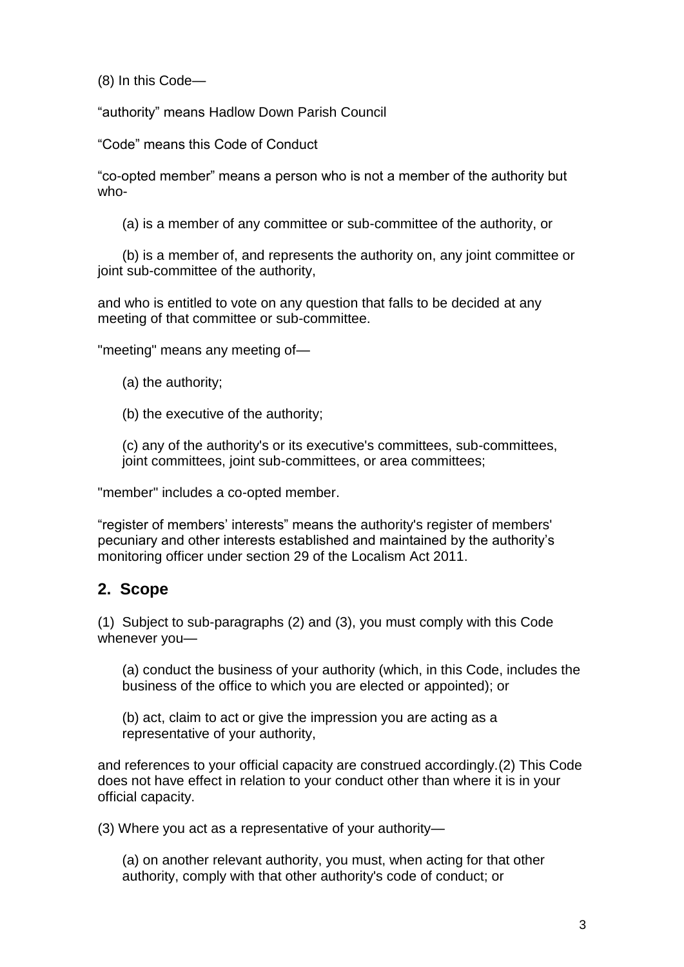(8) In this Code—

"authority" means Hadlow Down Parish Council

"Code" means this Code of Conduct

"co-opted member" means a person who is not a member of the authority but who-

(a) is a member of any committee or sub-committee of the authority, or

(b) is a member of, and represents the authority on, any joint committee or joint sub-committee of the authority.

and who is entitled to vote on any question that falls to be decided at any meeting of that committee or sub-committee.

"meeting" means any meeting of—

(a) the authority;

(b) the executive of the authority;

(c) any of the authority's or its executive's committees, sub-committees, joint committees, joint sub-committees, or area committees;

"member" includes a co-opted member.

"register of members' interests" means the authority's register of members' pecuniary and other interests established and maintained by the authority's monitoring officer under section 29 of the Localism Act 2011.

# **2. Scope**

(1) Subject to sub-paragraphs (2) and (3), you must comply with this Code whenever you—

(a) conduct the business of your authority (which, in this Code, includes the business of the office to which you are elected or appointed); or

(b) act, claim to act or give the impression you are acting as a representative of your authority,

and references to your official capacity are construed accordingly.(2) This Code does not have effect in relation to your conduct other than where it is in your official capacity.

(3) Where you act as a representative of your authority—

(a) on another relevant authority, you must, when acting for that other authority, comply with that other authority's code of conduct; or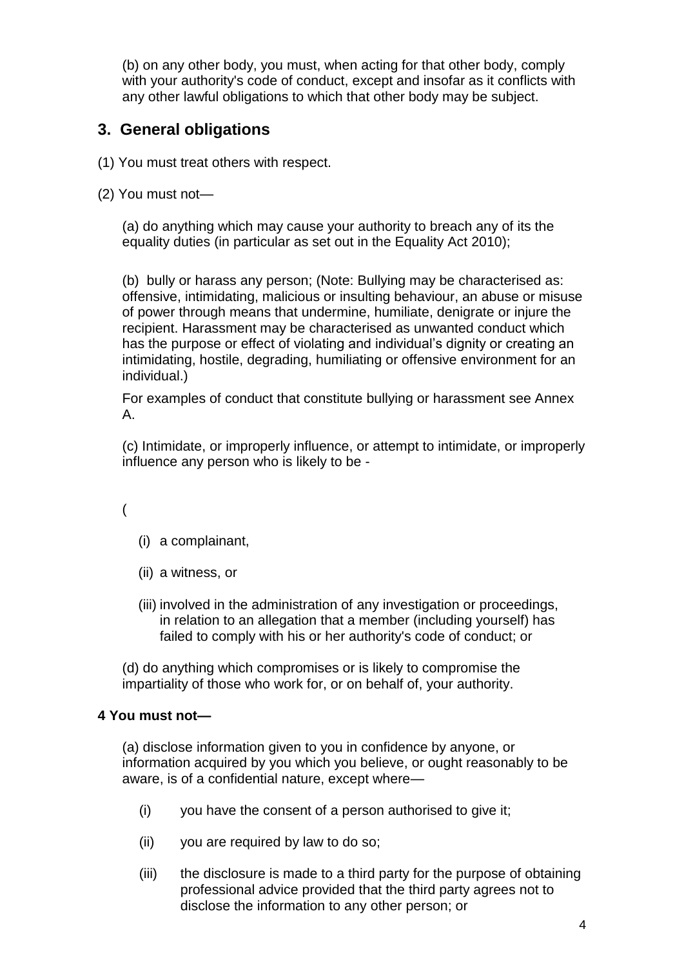(b) on any other body, you must, when acting for that other body, comply with your authority's code of conduct, except and insofar as it conflicts with any other lawful obligations to which that other body may be subject.

# **3. General obligations**

- (1) You must treat others with respect.
- (2) You must not—

(a) do anything which may cause your authority to breach any of its the equality duties (in particular as set out in the Equality Act 2010);

(b) bully or harass any person; (Note: Bullying may be characterised as: offensive, intimidating, malicious or insulting behaviour, an abuse or misuse of power through means that undermine, humiliate, denigrate or injure the recipient. Harassment may be characterised as unwanted conduct which has the purpose or effect of violating and individual's dignity or creating an intimidating, hostile, degrading, humiliating or offensive environment for an individual.)

For examples of conduct that constitute bullying or harassment see Annex A.

(c) Intimidate, or improperly influence, or attempt to intimidate, or improperly influence any person who is likely to be -

(

- (i) a complainant,
- (ii) a witness, or
- (iii) involved in the administration of any investigation or proceedings, in relation to an allegation that a member (including yourself) has failed to comply with his or her authority's code of conduct; or

(d) do anything which compromises or is likely to compromise the impartiality of those who work for, or on behalf of, your authority.

## **4 You must not—**

(a) disclose information given to you in confidence by anyone, or information acquired by you which you believe, or ought reasonably to be aware, is of a confidential nature, except where—

- (i) you have the consent of a person authorised to give it;
- (ii) you are required by law to do so;
- (iii) the disclosure is made to a third party for the purpose of obtaining professional advice provided that the third party agrees not to disclose the information to any other person; or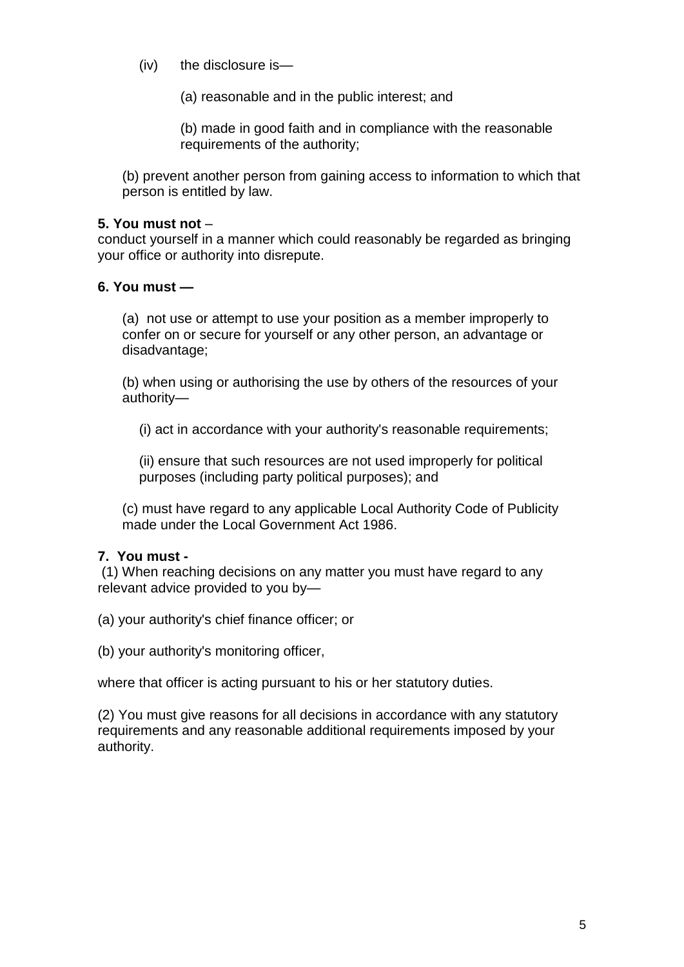(iv) the disclosure is—

(a) reasonable and in the public interest; and

(b) made in good faith and in compliance with the reasonable requirements of the authority;

(b) prevent another person from gaining access to information to which that person is entitled by law.

## **5. You must not** –

conduct yourself in a manner which could reasonably be regarded as bringing your office or authority into disrepute.

### **6. You must —**

(a) not use or attempt to use your position as a member improperly to confer on or secure for yourself or any other person, an advantage or disadvantage;

(b) when using or authorising the use by others of the resources of your authority—

(i) act in accordance with your authority's reasonable requirements;

(ii) ensure that such resources are not used improperly for political purposes (including party political purposes); and

(c) must have regard to any applicable Local Authority Code of Publicity made under the Local Government Act 1986.

## **7. You must -**

(1) When reaching decisions on any matter you must have regard to any relevant advice provided to you by—

(a) your authority's chief finance officer; or

(b) your authority's monitoring officer,

where that officer is acting pursuant to his or her statutory duties.

(2) You must give reasons for all decisions in accordance with any statutory requirements and any reasonable additional requirements imposed by your authority.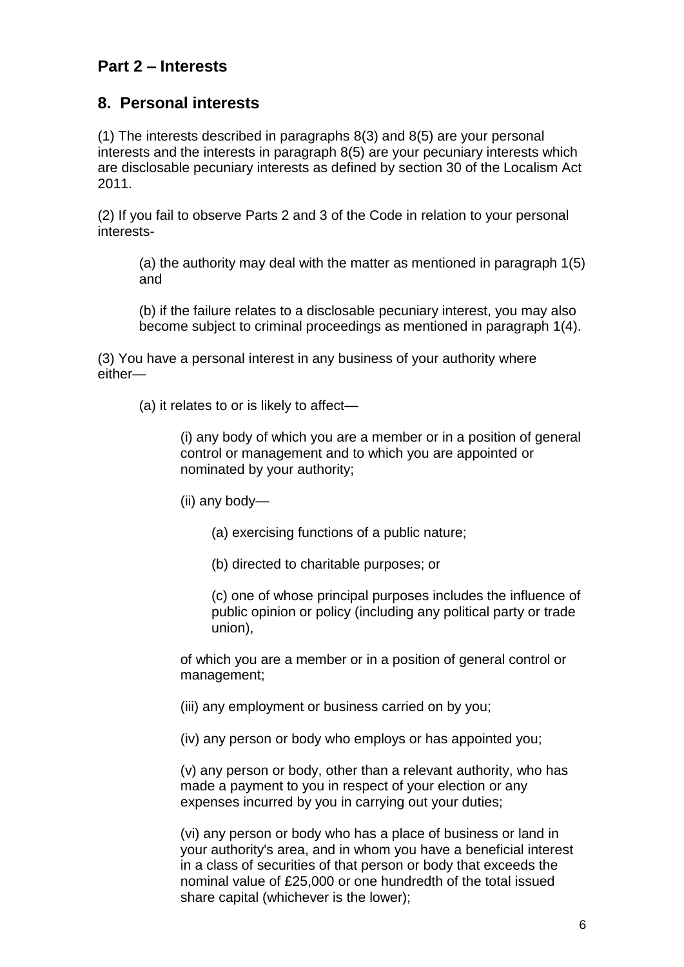# **Part 2 – Interests**

## **8. Personal interests**

(1) The interests described in paragraphs 8(3) and 8(5) are your personal interests and the interests in paragraph 8(5) are your pecuniary interests which are disclosable pecuniary interests as defined by section 30 of the Localism Act 2011.

(2) If you fail to observe Parts 2 and 3 of the Code in relation to your personal interests-

(a) the authority may deal with the matter as mentioned in paragraph 1(5) and

(b) if the failure relates to a disclosable pecuniary interest, you may also become subject to criminal proceedings as mentioned in paragraph 1(4).

(3) You have a personal interest in any business of your authority where either—

(a) it relates to or is likely to affect—

(i) any body of which you are a member or in a position of general control or management and to which you are appointed or nominated by your authority;

(ii) any body—

- (a) exercising functions of a public nature;
- (b) directed to charitable purposes; or

(c) one of whose principal purposes includes the influence of public opinion or policy (including any political party or trade union),

of which you are a member or in a position of general control or management;

(iii) any employment or business carried on by you;

(iv) any person or body who employs or has appointed you;

(v) any person or body, other than a relevant authority, who has made a payment to you in respect of your election or any expenses incurred by you in carrying out your duties;

(vi) any person or body who has a place of business or land in your authority's area, and in whom you have a beneficial interest in a class of securities of that person or body that exceeds the nominal value of £25,000 or one hundredth of the total issued share capital (whichever is the lower);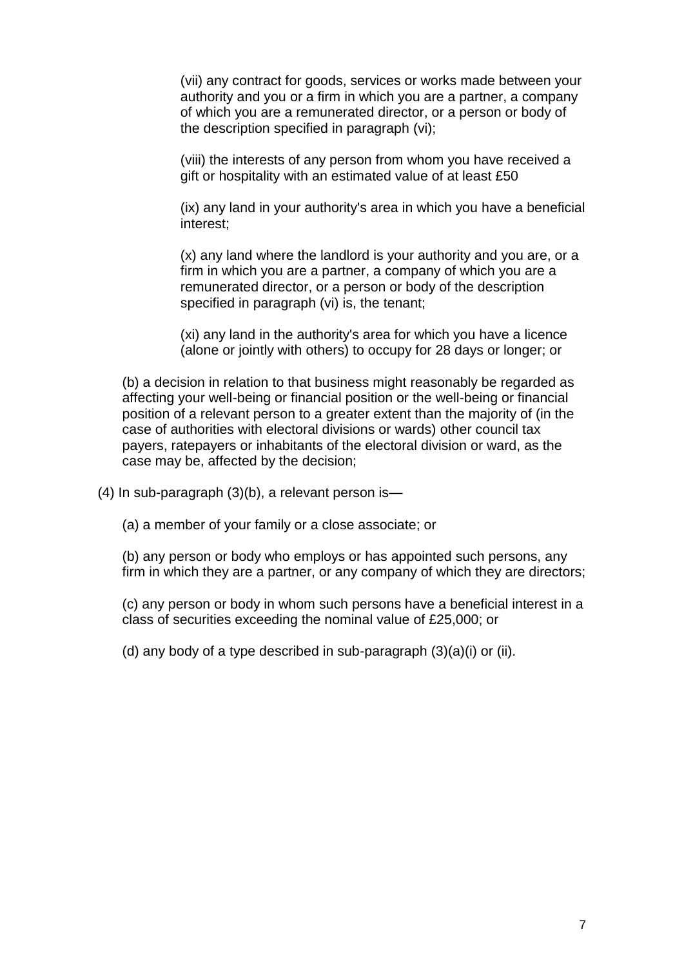(vii) any contract for goods, services or works made between your authority and you or a firm in which you are a partner, a company of which you are a remunerated director, or a person or body of the description specified in paragraph (vi);

(viii) the interests of any person from whom you have received a gift or hospitality with an estimated value of at least £50

(ix) any land in your authority's area in which you have a beneficial interest;

(x) any land where the landlord is your authority and you are, or a firm in which you are a partner, a company of which you are a remunerated director, or a person or body of the description specified in paragraph (vi) is, the tenant;

(xi) any land in the authority's area for which you have a licence (alone or jointly with others) to occupy for 28 days or longer; or

(b) a decision in relation to that business might reasonably be regarded as affecting your well-being or financial position or the well-being or financial position of a relevant person to a greater extent than the majority of (in the case of authorities with electoral divisions or wards) other council tax payers, ratepayers or inhabitants of the electoral division or ward, as the case may be, affected by the decision;

(4) In sub-paragraph (3)(b), a relevant person is—

(a) a member of your family or a close associate; or

(b) any person or body who employs or has appointed such persons, any firm in which they are a partner, or any company of which they are directors;

(c) any person or body in whom such persons have a beneficial interest in a class of securities exceeding the nominal value of £25,000; or

(d) any body of a type described in sub-paragraph (3)(a)(i) or (ii).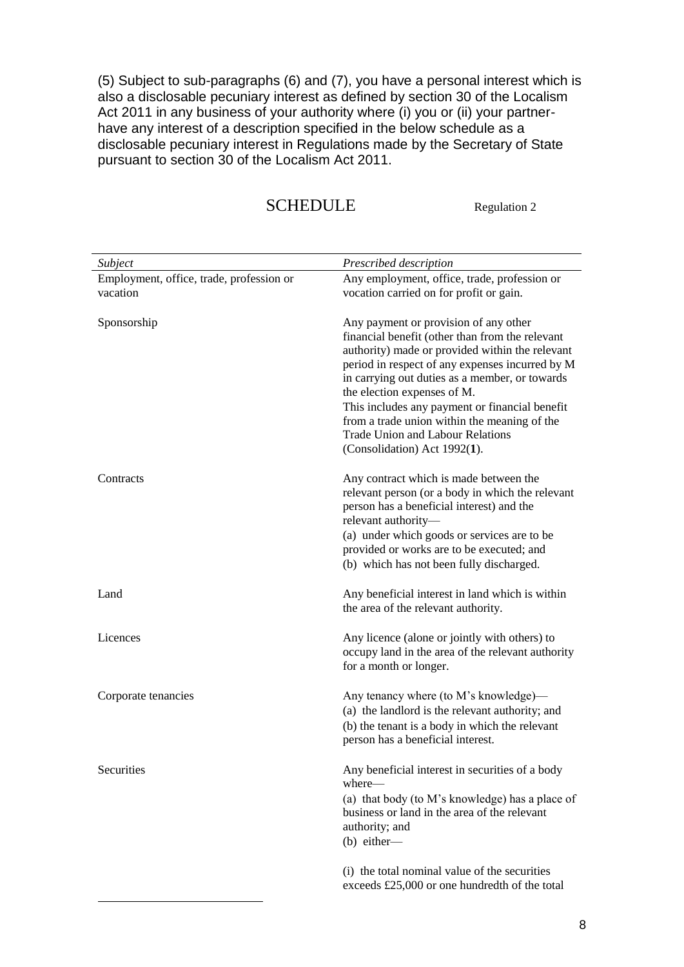(5) Subject to sub-paragraphs (6) and (7), you have a personal interest which is also a disclosable pecuniary interest as defined by section 30 of the Localism Act 2011 in any business of your authority where (i) you or (ii) your partnerhave any interest of a description specified in the below schedule as a disclosable pecuniary interest in Regulations made by the Secretary of State pursuant to section 30 of the Localism Act 2011.

# SCHEDULE Regulation 2

| Subject                                              | Prescribed description                                                                                                                                                                                                                                                                                                                                                                                                                                       |
|------------------------------------------------------|--------------------------------------------------------------------------------------------------------------------------------------------------------------------------------------------------------------------------------------------------------------------------------------------------------------------------------------------------------------------------------------------------------------------------------------------------------------|
| Employment, office, trade, profession or<br>vacation | Any employment, office, trade, profession or<br>vocation carried on for profit or gain.                                                                                                                                                                                                                                                                                                                                                                      |
| Sponsorship                                          | Any payment or provision of any other<br>financial benefit (other than from the relevant<br>authority) made or provided within the relevant<br>period in respect of any expenses incurred by M<br>in carrying out duties as a member, or towards<br>the election expenses of M.<br>This includes any payment or financial benefit<br>from a trade union within the meaning of the<br><b>Trade Union and Labour Relations</b><br>(Consolidation) Act 1992(1). |
| Contracts                                            | Any contract which is made between the<br>relevant person (or a body in which the relevant<br>person has a beneficial interest) and the<br>relevant authority-<br>(a) under which goods or services are to be<br>provided or works are to be executed; and<br>(b) which has not been fully discharged.                                                                                                                                                       |
| Land                                                 | Any beneficial interest in land which is within<br>the area of the relevant authority.                                                                                                                                                                                                                                                                                                                                                                       |
| Licences                                             | Any licence (alone or jointly with others) to<br>occupy land in the area of the relevant authority<br>for a month or longer.                                                                                                                                                                                                                                                                                                                                 |
| Corporate tenancies                                  | Any tenancy where (to M's knowledge)—<br>(a) the landlord is the relevant authority; and<br>(b) the tenant is a body in which the relevant<br>person has a beneficial interest.                                                                                                                                                                                                                                                                              |
| Securities                                           | Any beneficial interest in securities of a body<br>where-<br>(a) that body (to M's knowledge) has a place of<br>business or land in the area of the relevant<br>authority; and<br>$(b)$ either-                                                                                                                                                                                                                                                              |
|                                                      | (i) the total nominal value of the securities<br>exceeds £25,000 or one hundredth of the total                                                                                                                                                                                                                                                                                                                                                               |

1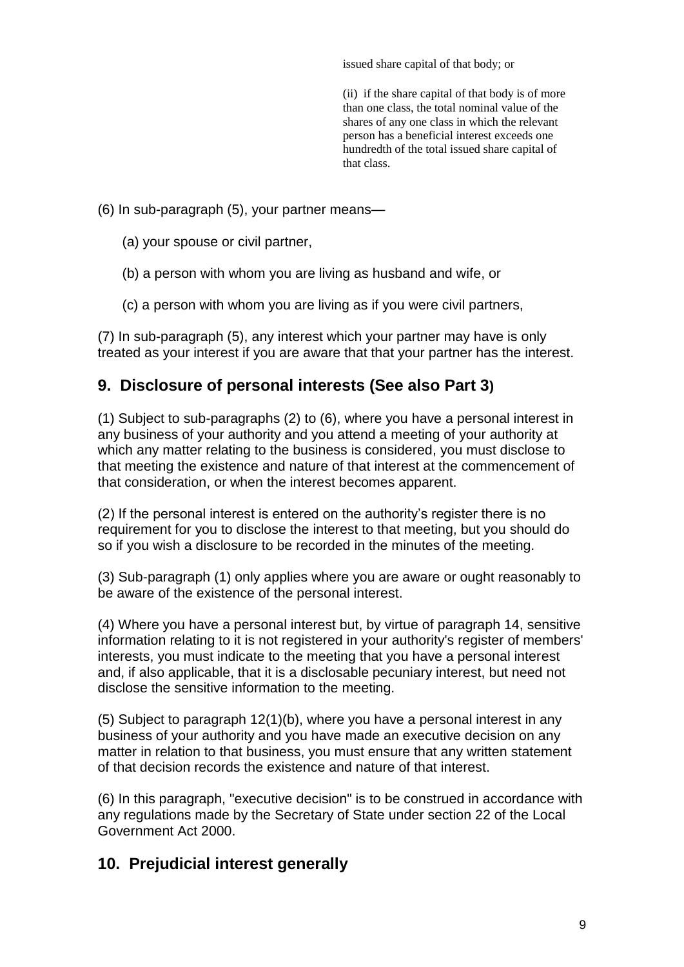issued share capital of that body; or

(ii) if the share capital of that body is of more than one class, the total nominal value of the shares of any one class in which the relevant person has a beneficial interest exceeds one hundredth of the total issued share capital of that class.

(6) In sub-paragraph (5), your partner means—

- (a) your spouse or civil partner,
- (b) a person with whom you are living as husband and wife, or
- (c) a person with whom you are living as if you were civil partners,

(7) In sub-paragraph (5), any interest which your partner may have is only treated as your interest if you are aware that that your partner has the interest.

## **9. Disclosure of personal interests (See also Part 3)**

(1) Subject to sub-paragraphs (2) to (6), where you have a personal interest in any business of your authority and you attend a meeting of your authority at which any matter relating to the business is considered, you must disclose to that meeting the existence and nature of that interest at the commencement of that consideration, or when the interest becomes apparent.

(2) If the personal interest is entered on the authority's register there is no requirement for you to disclose the interest to that meeting, but you should do so if you wish a disclosure to be recorded in the minutes of the meeting.

(3) Sub-paragraph (1) only applies where you are aware or ought reasonably to be aware of the existence of the personal interest.

(4) Where you have a personal interest but, by virtue of paragraph 14, sensitive information relating to it is not registered in your authority's register of members' interests, you must indicate to the meeting that you have a personal interest and, if also applicable, that it is a disclosable pecuniary interest, but need not disclose the sensitive information to the meeting.

(5) Subject to paragraph 12(1)(b), where you have a personal interest in any business of your authority and you have made an executive decision on any matter in relation to that business, you must ensure that any written statement of that decision records the existence and nature of that interest.

(6) In this paragraph, "executive decision" is to be construed in accordance with any regulations made by the Secretary of State under section 22 of the Local Government Act 2000.

# **10. Prejudicial interest generally**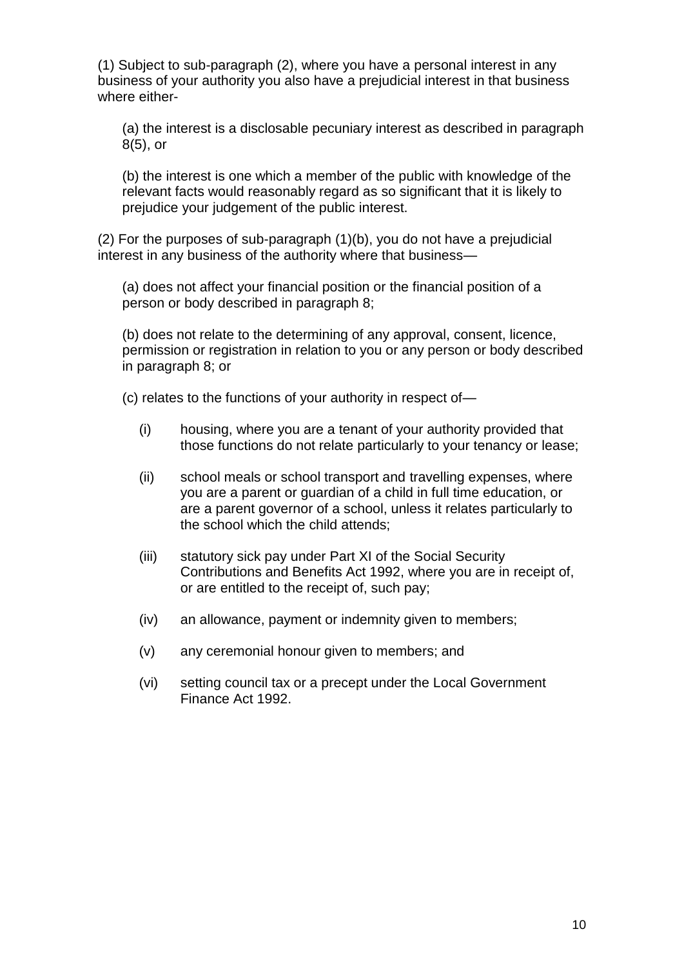(1) Subject to sub-paragraph (2), where you have a personal interest in any business of your authority you also have a prejudicial interest in that business where either-

(a) the interest is a disclosable pecuniary interest as described in paragraph 8(5), or

(b) the interest is one which a member of the public with knowledge of the relevant facts would reasonably regard as so significant that it is likely to prejudice your judgement of the public interest.

(2) For the purposes of sub-paragraph (1)(b), you do not have a prejudicial interest in any business of the authority where that business—

(a) does not affect your financial position or the financial position of a person or body described in paragraph 8;

(b) does not relate to the determining of any approval, consent, licence, permission or registration in relation to you or any person or body described in paragraph 8; or

(c) relates to the functions of your authority in respect of—

- (i) housing, where you are a tenant of your authority provided that those functions do not relate particularly to your tenancy or lease;
- (ii) school meals or school transport and travelling expenses, where you are a parent or guardian of a child in full time education, or are a parent governor of a school, unless it relates particularly to the school which the child attends;
- (iii) statutory sick pay under Part XI of the Social Security Contributions and Benefits Act 1992, where you are in receipt of, or are entitled to the receipt of, such pay;
- (iv) an allowance, payment or indemnity given to members;
- (v) any ceremonial honour given to members; and
- (vi) setting council tax or a precept under the Local Government Finance Act 1992.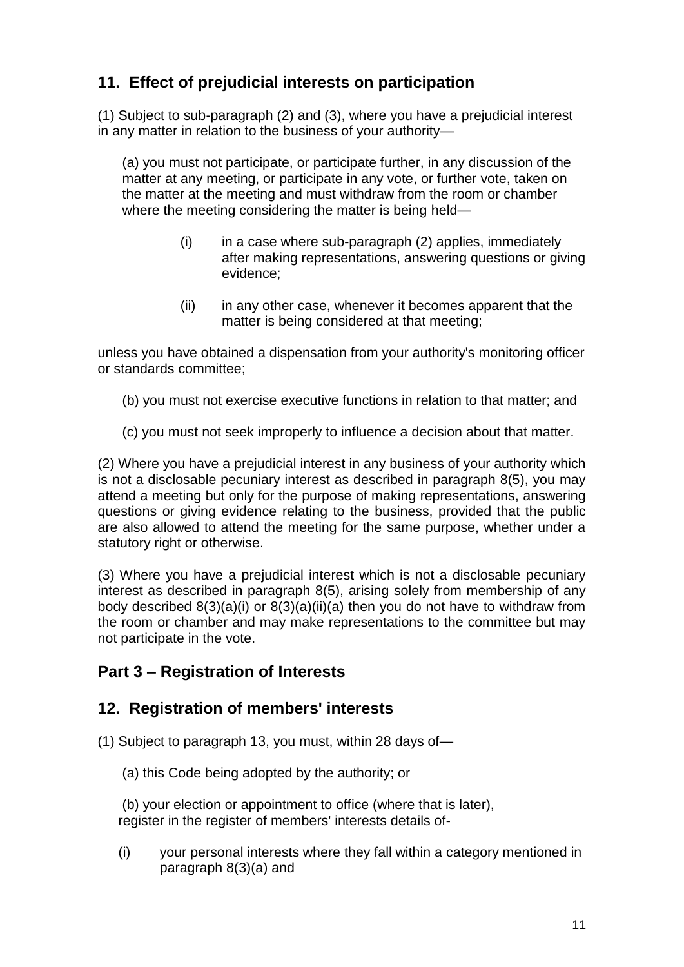# **11. Effect of prejudicial interests on participation**

(1) Subject to sub-paragraph (2) and (3), where you have a prejudicial interest in any matter in relation to the business of your authority—

(a) you must not participate, or participate further, in any discussion of the matter at any meeting, or participate in any vote, or further vote, taken on the matter at the meeting and must withdraw from the room or chamber where the meeting considering the matter is being held—

- $(i)$  in a case where sub-paragraph  $(2)$  applies, immediately after making representations, answering questions or giving evidence;
- (ii) in any other case, whenever it becomes apparent that the matter is being considered at that meeting;

unless you have obtained a dispensation from your authority's monitoring officer or standards committee;

- (b) you must not exercise executive functions in relation to that matter; and
- (c) you must not seek improperly to influence a decision about that matter.

(2) Where you have a prejudicial interest in any business of your authority which is not a disclosable pecuniary interest as described in paragraph 8(5), you may attend a meeting but only for the purpose of making representations, answering questions or giving evidence relating to the business, provided that the public are also allowed to attend the meeting for the same purpose, whether under a statutory right or otherwise.

(3) Where you have a prejudicial interest which is not a disclosable pecuniary interest as described in paragraph 8(5), arising solely from membership of any body described 8(3)(a)(i) or 8(3)(a)(ii)(a) then you do not have to withdraw from the room or chamber and may make representations to the committee but may not participate in the vote.

# **Part 3 – Registration of Interests**

## **12. Registration of members' interests**

- (1) Subject to paragraph 13, you must, within 28 days of—
	- (a) this Code being adopted by the authority; or

(b) your election or appointment to office (where that is later), register in the register of members' interests details of-

(i) your personal interests where they fall within a category mentioned in paragraph 8(3)(a) and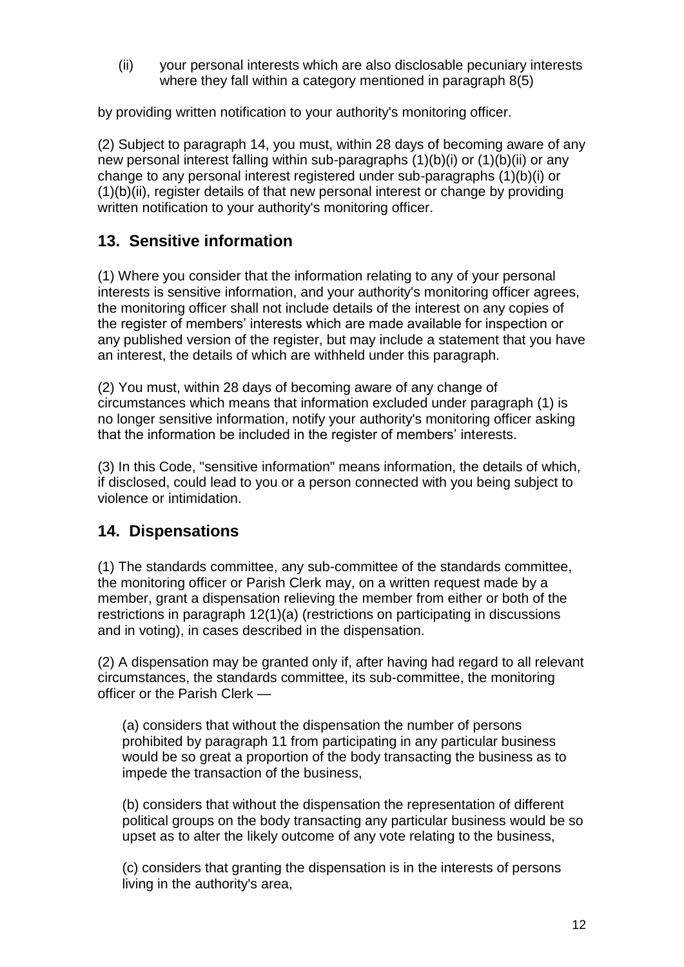(ii) your personal interests which are also disclosable pecuniary interests where they fall within a category mentioned in paragraph 8(5)

by providing written notification to your authority's monitoring officer.

(2) Subject to paragraph 14, you must, within 28 days of becoming aware of any new personal interest falling within sub-paragraphs (1)(b)(i) or (1)(b)(ii) or any change to any personal interest registered under sub-paragraphs (1)(b)(i) or (1)(b)(ii), register details of that new personal interest or change by providing written notification to your authority's monitoring officer.

# **13. Sensitive information**

(1) Where you consider that the information relating to any of your personal interests is sensitive information, and your authority's monitoring officer agrees, the monitoring officer shall not include details of the interest on any copies of the register of members' interests which are made available for inspection or any published version of the register, but may include a statement that you have an interest, the details of which are withheld under this paragraph.

(2) You must, within 28 days of becoming aware of any change of circumstances which means that information excluded under paragraph (1) is no longer sensitive information, notify your authority's monitoring officer asking that the information be included in the register of members' interests.

(3) In this Code, "sensitive information" means information, the details of which, if disclosed, could lead to you or a person connected with you being subject to violence or intimidation.

# **14. Dispensations**

(1) The standards committee, any sub-committee of the standards committee, the monitoring officer or Parish Clerk may, on a written request made by a member, grant a dispensation relieving the member from either or both of the restrictions in paragraph 12(1)(a) (restrictions on participating in discussions and in voting), in cases described in the dispensation.

(2) A dispensation may be granted only if, after having had regard to all relevant circumstances, the standards committee, its sub-committee, the monitoring officer or the Parish Clerk —

(a) considers that without the dispensation the number of persons prohibited by paragraph 11 from participating in any particular business would be so great a proportion of the body transacting the business as to impede the transaction of the business,

(b) considers that without the dispensation the representation of different political groups on the body transacting any particular business would be so upset as to alter the likely outcome of any vote relating to the business,

(c) considers that granting the dispensation is in the interests of persons living in the authority's area,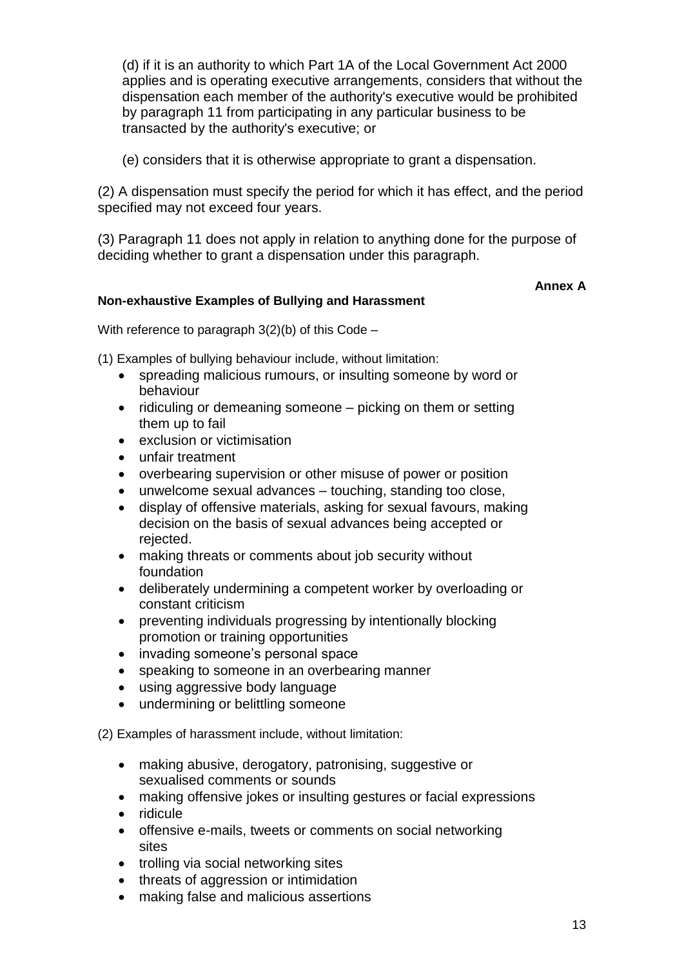(d) if it is an authority to which Part 1A of the Local Government Act 2000 applies and is operating executive arrangements, considers that without the dispensation each member of the authority's executive would be prohibited by paragraph 11 from participating in any particular business to be transacted by the authority's executive; or

(e) considers that it is otherwise appropriate to grant a dispensation.

(2) A dispensation must specify the period for which it has effect, and the period specified may not exceed four years.

(3) Paragraph 11 does not apply in relation to anything done for the purpose of deciding whether to grant a dispensation under this paragraph.

### **Annex A**

# **Non-exhaustive Examples of Bullying and Harassment**

With reference to paragraph 3(2)(b) of this Code –

(1) Examples of bullying behaviour include, without limitation:

- spreading malicious rumours, or insulting someone by word or behaviour
- ridiculing or demeaning someone picking on them or setting them up to fail
- exclusion or victimisation
- unfair treatment
- overbearing supervision or other misuse of power or position
- unwelcome sexual advances touching, standing too close,
- display of offensive materials, asking for sexual favours, making decision on the basis of sexual advances being accepted or rejected.
- making threats or comments about job security without foundation
- deliberately undermining a competent worker by overloading or constant criticism
- preventing individuals progressing by intentionally blocking promotion or training opportunities
- invading someone's personal space
- speaking to someone in an overbearing manner
- using aggressive body language
- undermining or belittling someone

(2) Examples of harassment include, without limitation:

- making abusive, derogatory, patronising, suggestive or sexualised comments or sounds
- making offensive jokes or insulting gestures or facial expressions
- ridicule
- offensive e-mails, tweets or comments on social networking sites
- trolling via social networking sites
- threats of aggression or intimidation
- making false and malicious assertions